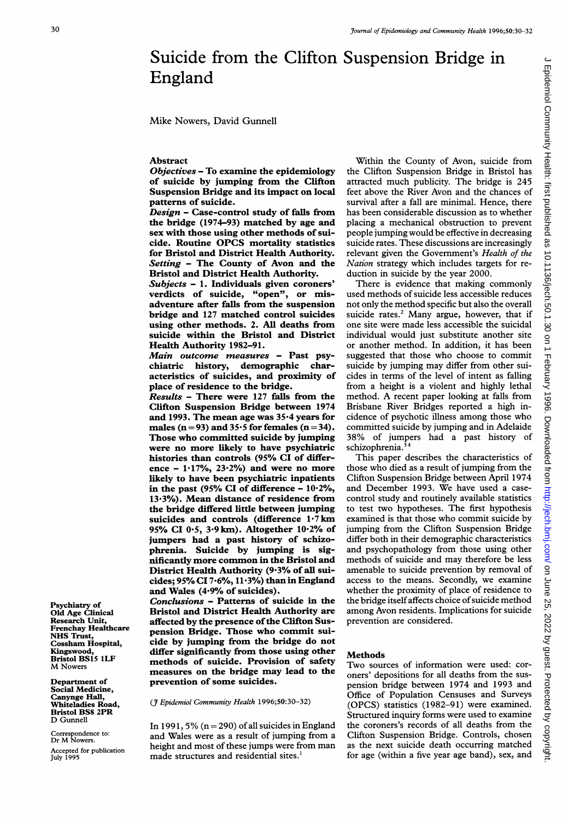# Suicide from the Clifton Suspension Bridge in England

Mike Nowers, David Gunnell

#### Abstract

Objectives - To examine the epidemiology of suicide by jumping from the Clifton Suspension Bridge and its impact on local patterns of suicide.

Design - Case-control study of falls from the bridge (1974-93) matched by age and sex with those using other methods of suicide. Routine OPCS mortality statistics for Bristol and District Health Authority. Setting - The County of Avon and the Bristol and District Health Authority.

Subjects - 1. Individuals given coroners' verdicts of suicide, "open", or misadventure after falls from the suspension bridge and 127 matched control suicides using other methods. 2. All deaths from suicide within the Bristol and District Health Authority 1982-91.

Main outcome measures - Past psy-<br>chiatric history, demographic chardemographic characteristics of suicides, and proximity of place of residence to the bridge.

Results - There were 127 falls from the Clifton Suspension Bridge between 1974 and 1993. The mean age was 35-4 years for males ( $n = 93$ ) and 35.5 for females ( $n = 34$ ). Those who committed suicide by jumping were no more likely to have psychiatric histories than controls (95% CI of difference -  $1.17\%$ ,  $23.2\%$ ) and were no more likely to have been psychiatric inpatients in the past (95% CI of difference  $-10.2\%$ , 13.3%). Mean distance of residence from the bridge differed little between jumping suicides and controls (difference 1\*7 km 95% CI 0-5, 3-9km). Altogether 102% of jumpers had a past history of schizophrenia. Suicide by jumping is significandy more common in the Bristol and District Health Authority (9.3% of all suicides; 95% CI 7\*6%, 11.3%) than in England and Wales (4'9% of suicides).

Conclusions - Patterns of suicide in the Bristol and District Health Authority are affected by the presence of the Clifton Suspension Bridge. Those who commit suicide by jumping from the bridge do not differ significantly from those using other methods of suicide. Provision of safety measures on the bridge may lead to the prevention of some suicides.

(J7 Epidemiol Community Health 1996;50:30-32)

In 1991, 5% ( $n = 290$ ) of all suicides in England and Wales were as a result of jumping from a height and most of these jumps were from man made structures and residential sites.'

Within the County of Avon, suicide from the Clifton Suspension Bridge in Bristol has attracted much publicity. The bridge is 245 feet above the River Avon and the chances of survival after a fall are minimal. Hence, there has been considerable discussion as to whether placing a mechanical obstruction to prevent people jumping would be effective in decreasing suicide rates. These discussions are increasingly relevant given the Government's Health of the Nation strategy which includes targets for reduction in suicide by the year 2000.

There is evidence that making commonly used methods of suicide less accessible reduces not only the method specific but also the overall suicide rates.<sup>2</sup> Many argue, however, that if one site were made less accessible the suicidal individual would just substitute another site or another method. In addition, it has been suggested that those who choose to commit suicide by jumping may differ from other suicides in terms of the level of intent as falling from a height is a violent and highly lethal method. A recent paper looking at falls from Brisbane River Bridges reported a high incidence of psychotic illness among those who committed suicide by jumping and in Adelaide 38% of jumpers had <sup>a</sup> past history of schizophrenia.<sup>34</sup>

This paper describes the characteristics of those who died as <sup>a</sup> result of jumping from the Clifton Suspension Bridge between April 1974 and December 1993. We have used <sup>a</sup> casecontrol study and routinely available statistics to test two hypotheses. The first hypothesis examined is that those who commit suicide by jumping from the Clifton Suspension Bridge differ both in their demographic characteristics and psychopathology from those using other methods of suicide and may therefore be less amenable to suicide prevention by removal of access to the means. Secondly, we examine whether the proximity of place of residence to the bridge itself affects choice of suicide method among Avon residents. Implications for suicide prevention are considered.

#### Methods

Two sources of information were used: coroners' depositions for all deaths from the suspension bridge between 1974 and 1993 and Office of Population Censuses and Surveys (OPCS) statistics (1982-91) were examined. Structured inquiry forms were used to examine the coroners's records of all deaths from the Clifton Suspension Bridge. Controls, chosen as the next suicide death occurring matched for age (within a five year age band), sex, and

Psychiatry of Old Age Clinical Research Unit, Frenchay Healthcare NHS Trust, Cossham Hospital, Kingswood, Bristol BS15 1LF M Nowers

Department of Social Medicine, Canynge Hall, Whiteladies Road, Bristol BS8 2PR D Gunnell

Correspondence to: Dr M Nowers.

Accepted for publication July 1995

30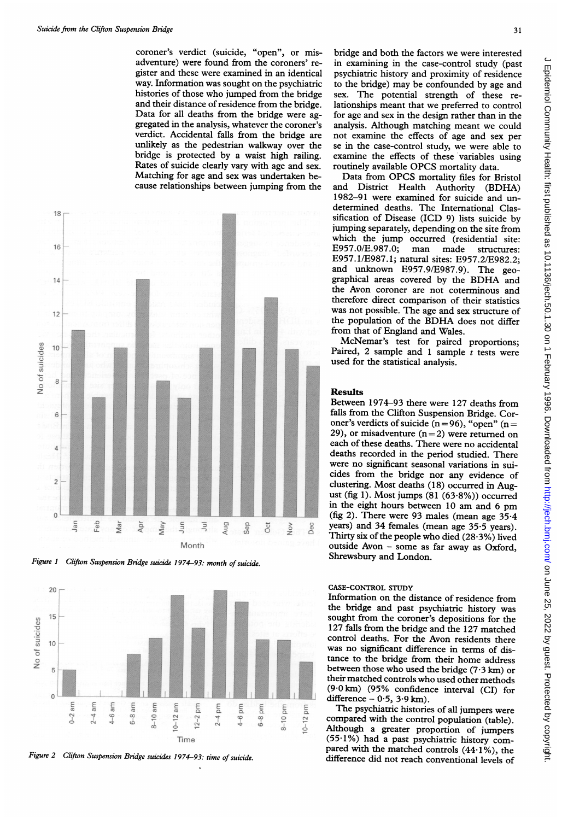coroner's verdict (suicide, "open", or misadventure) were found from the coroners' register and these were examined in an identical way. Information was sought on the psychiatric histories of those who jumped from the bridge and their distance of residence from the bridge. Data for all deaths from the bridge were aggregated in the analysis, whatever the coroner's verdict. Accidental falls from the bridge are unlikely as the pedestrian walkway over the bridge is protected by a waist high railing. Rates of suicide clearly vary with age and sex. Matching for age and sex was undertaken because relationships between jumping from the



Figure <sup>I</sup> Clifton Suspension Bridge suicide 1974-93: month of suicide.



Figure 2 Clifton Suspension Bridge suicides 1974-93: time of suicide.

## bridge and both the factors we were interested in examining in the case-control study (past psychiatric history and proximity of residence to the bridge) may be confounded by age and sex. The potential strength of these relationships meant that we preferred to control for age and sex in the design rather than in the analysis. Although matching meant we could not examine the effects of age and sex per se in the case-control study, we were able to examine the effects of these 'variables using routinely available OPCS mortality data.

Data from OPCS mortality files for Bristol<br>Id District Health Authority (BDHA) and District Health Authority 1982-91 were examined for suicide and undetermined deaths. The International Classification of Disease (ICD 9) lists suicide by jumping separately, depending on the site from which the jump occurred (residential site:<br>E957.0/E.987.0; man made structures: E957.0/E.987.0; E957.1/E987.1; natural sites: E957.2/E982.2; and unknown E957.9/E987.9). The geographical areas covered by the BDHA and the Avon coroner are not coterminous and therefore direct comparison of their statistics was not possible. The age and sex structure of the population of the BDHA does not differ from that of England and Wales.

McNemar's test for paired proportions; Paired, 2 sample and 1 sample  $t$  tests were used for the statistical analysis.

### **Results**

Between 1974-93 there were 127 deaths from falls from the Clifton Suspension Bridge. Coroner's verdicts of suicide  $(n=96)$ , "open" (n = 29), or misadventure  $(n=2)$  were returned on each of these deaths. There were no accidental deaths recorded in the period studied. There were no significant seasonal variations in suicides from the bridge nor any evidence of clustering. Most deaths (18) occurred in August (fig 1). Most jumps  $(81 (63.8\%))$  occurred in the eight hours between <sup>10</sup> am and <sup>6</sup> pm (fig 2). There were 93 males (mean age 35-4 years) and 34 females (mean age 35-5 years).  $\frac{3}{2}$   $\frac{8}{9}$  years) and 34 females (mean age 35.5 years).<br>Thirty six of the people who died (28.3%) lived outside Avon - some as far away as Oxford, Shrewsbury and London.

# CASE-CONTROL STUDY

Information on the distance of residence from the bridge and past psychiatric history was sought from the coroner's depositions for the 127 falls from the bridge and the 127 matched control deaths. For the Avon residents there was no significant difference in terms of distance to the bridge from their home address between those who used the bridge  $(7.3 \text{ km})$  or their matched controls who used other methods (9-0 km) (95% confidence interval (CI) for difference  $-0.5$ ,  $3.9$  km).

The psychiatric histories of all jumpers were compared with the control population (table). Although a greater proportion of jumpers (55 1%) had a past psychiatric history compared with the matched controls (44-1%), the difference did not reach conventional levels of

31